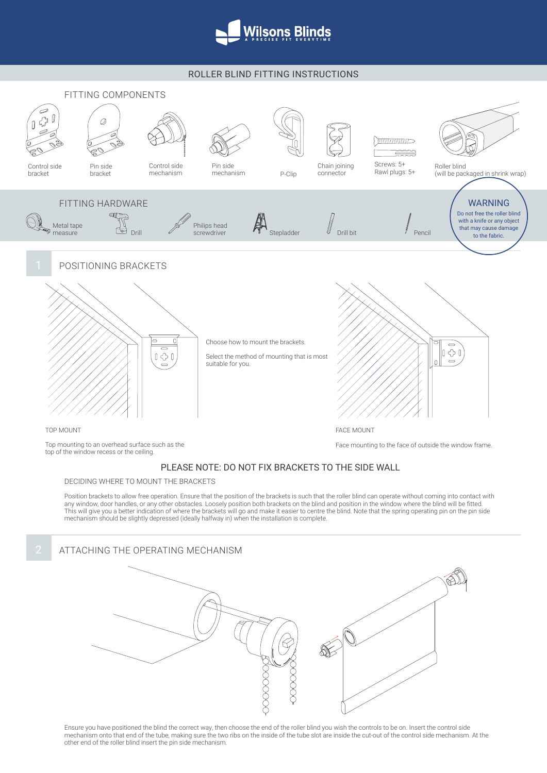

## ROLLER BLIND FITTING INSTRUCTIONS



## PLEASE NOTE: DO NOT FIX BRACKETS TO THE SIDE WALL

DECIDING WHERE TO MOUNT THE BRACKETS

Position brackets to allow free operation. Ensure that the position of the brackets is such that the roller blind can operate without coming into contact with any window, door handles, or any other obstacles. Loosely position both brackets on the blind and position in the window where the blind will be fitted. This will give you a better indication of where the brackets will go and make it easier to centre the blind. Note that the spring operating pin on the pin side mechanism should be slightly depressed (ideally halfway in) when the installation is complete.



Ensure you have positioned the blind the correct way, then choose the end of the roller blind you wish the controls to be on. Insert the control side mechanism onto that end of the tube, making sure the two ribs on the inside of the tube slot are inside the cut-out of the control side mechanism. At the other end of the roller blind insert the pin side mechanism.